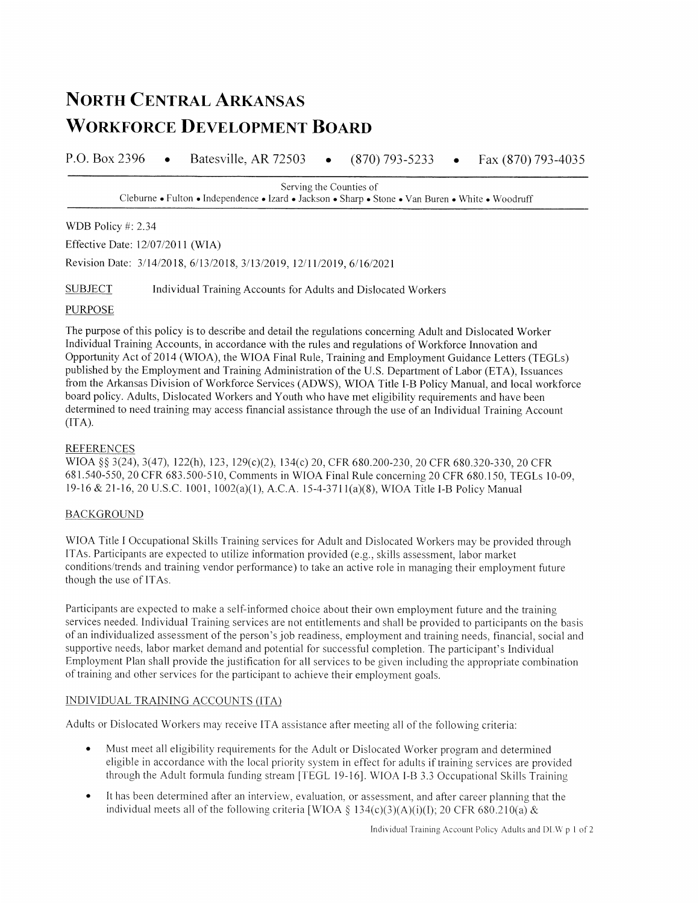# **NORTH CENTRAL ARKANSAS WORKFORCE DEVELOPMENT BOARD**

P.O. Box 2396 Batesville, AR 72503  $(870)$  793-5233 Fax (870) 793-4035  $\bullet$  $\bullet$ 

> Serving the Counties of Cleburne • Fulton • Independence • Izard • Jackson • Sharp • Stone • Van Buren • White • Woodruff

WDB Policy #: 2.34

Effective Date: 12/07/2011 (WIA)

Revision Date: 3/14/2018, 6/13/2018, 3/13/2019, 12/11/2019, 6/16/2021

**SUBJECT** Individual Training Accounts for Adults and Dislocated Workers

#### **PURPOSE**

The purpose of this policy is to describe and detail the regulations concerning Adult and Dislocated Worker Individual Training Accounts, in accordance with the rules and regulations of Workforce Innovation and Opportunity Act of 2014 (WIOA), the WIOA Final Rule, Training and Employment Guidance Letters (TEGLs) published by the Employment and Training Administration of the U.S. Department of Labor (ETA), Issuances from the Arkansas Division of Workforce Services (ADWS), WIOA Title I-B Policy Manual, and local workforce board policy. Adults, Dislocated Workers and Youth who have met eligibility requirements and have been determined to need training may access financial assistance through the use of an Individual Training Account  $(ITA).$ 

### **REFERENCES**

WIOA §§ 3(24), 3(47), 122(h), 123, 129(c)(2), 134(c) 20, CFR 680.200-230, 20 CFR 680.320-330, 20 CFR 681.540-550, 20 CFR 683.500-510, Comments in WIOA Final Rule concerning 20 CFR 680.150, TEGLs 10-09, 19-16 & 21-16, 20 U.S.C. 1001, 1002(a)(1), A.C.A. 15-4-3711(a)(8), WIOA Title I-B Policy Manual

#### **BACKGROUND**

WIOA Title I Occupational Skills Training services for Adult and Dislocated Workers may be provided through ITAs. Participants are expected to utilize information provided (e.g., skills assessment, labor market conditions/trends and training vendor performance) to take an active role in managing their employment future though the use of ITAs.

Participants are expected to make a self-informed choice about their own employment future and the training services needed. Individual Training services are not entitlements and shall be provided to participants on the basis of an individualized assessment of the person's job readiness, employment and training needs, financial, social and supportive needs, labor market demand and potential for successful completion. The participant's Individual Employment Plan shall provide the justification for all services to be given including the appropriate combination of training and other services for the participant to achieve their employment goals.

#### INDIVIDUAL TRAINING ACCOUNTS (ITA)

Adults or Dislocated Workers may receive ITA assistance after meeting all of the following criteria:

- Must meet all eligibility requirements for the Adult or Dislocated Worker program and determined  $\bullet$ eligible in accordance with the local priority system in effect for adults if training services are provided through the Adult formula funding stream [TEGL 19-16]. WIOA I-B 3.3 Occupational Skills Training
- It has been determined after an interview, evaluation, or assessment, and after career planning that the individual meets all of the following criteria [WIOA § 134(c)(3)(A)(i)(I); 20 CFR 680.210(a) &